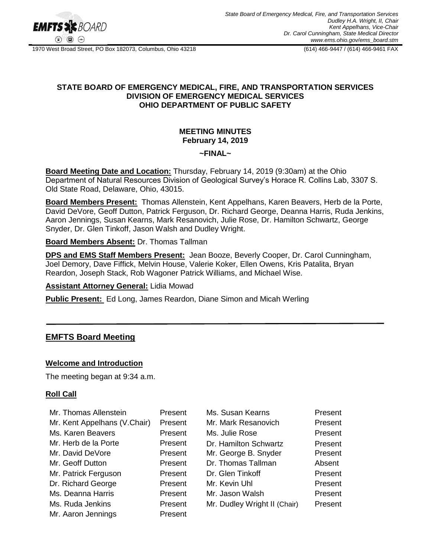

1970 West Broad Street, PO Box 182073, Columbus, Ohio 43218 (614) 466-9447 / (614) 466-9461 FAX

#### **STATE BOARD OF EMERGENCY MEDICAL, FIRE, AND TRANSPORTATION SERVICES DIVISION OF EMERGENCY MEDICAL SERVICES OHIO DEPARTMENT OF PUBLIC SAFETY**

#### **MEETING MINUTES February 14, 2019**

#### **~FINAL~**

**Board Meeting Date and Location:** Thursday, February 14, 2019 (9:30am) at the Ohio Department of Natural Resources Division of Geological Survey's Horace R. Collins Lab, 3307 S. Old State Road, Delaware, Ohio, 43015.

**Board Members Present:** Thomas Allenstein, Kent Appelhans, Karen Beavers, Herb de la Porte, David DeVore, Geoff Dutton, Patrick Ferguson, Dr. Richard George, Deanna Harris, Ruda Jenkins, Aaron Jennings, Susan Kearns, Mark Resanovich, Julie Rose, Dr. Hamilton Schwartz, George Snyder, Dr. Glen Tinkoff, Jason Walsh and Dudley Wright.

#### **Board Members Absent:** Dr. Thomas Tallman

**DPS and EMS Staff Members Present:** Jean Booze, Beverly Cooper, Dr. Carol Cunningham, Joel Demory, Dave Fiffick, Melvin House, Valerie Koker, Ellen Owens, Kris Patalita, Bryan Reardon, Joseph Stack, Rob Wagoner Patrick Williams, and Michael Wise.

# **Assistant Attorney General:** Lidia Mowad

**Public Present:** Ed Long, James Reardon, Diane Simon and Micah Werling

# **EMFTS Board Meeting**

#### **Welcome and Introduction**

The meeting began at 9:34 a.m.

#### **Roll Call**

| Mr. Thomas Allenstein        | Present | Ms. Susan Kearns             | Present |
|------------------------------|---------|------------------------------|---------|
| Mr. Kent Appelhans (V.Chair) | Present | Mr. Mark Resanovich          | Present |
| Ms. Karen Beavers            | Present | Ms. Julie Rose               | Present |
| Mr. Herb de la Porte         | Present | Dr. Hamilton Schwartz        | Present |
| Mr. David DeVore             | Present | Mr. George B. Snyder         | Present |
| Mr. Geoff Dutton             | Present | Dr. Thomas Tallman           | Absent  |
| Mr. Patrick Ferguson         | Present | Dr. Glen Tinkoff             | Present |
| Dr. Richard George           | Present | Mr. Kevin Uhl                | Present |
| Ms. Deanna Harris            | Present | Mr. Jason Walsh              | Present |
| Ms. Ruda Jenkins             | Present | Mr. Dudley Wright II (Chair) | Present |
| Mr. Aaron Jennings           | Present |                              |         |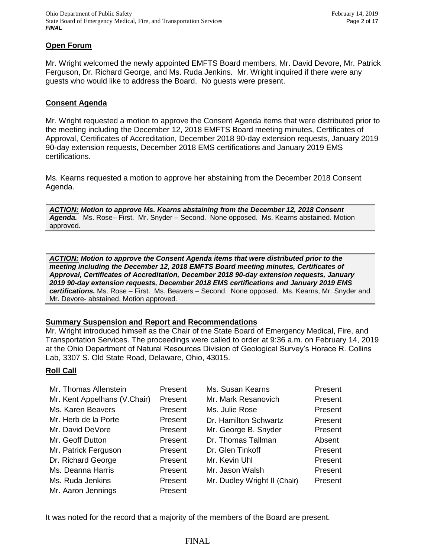#### **Open Forum**

Mr. Wright welcomed the newly appointed EMFTS Board members, Mr. David Devore, Mr. Patrick Ferguson, Dr. Richard George, and Ms. Ruda Jenkins. Mr. Wright inquired if there were any guests who would like to address the Board. No guests were present.

#### **Consent Agenda**

Mr. Wright requested a motion to approve the Consent Agenda items that were distributed prior to the meeting including the December 12, 2018 EMFTS Board meeting minutes, Certificates of Approval, Certificates of Accreditation, December 2018 90-day extension requests, January 2019 90-day extension requests, December 2018 EMS certifications and January 2019 EMS certifications.

Ms. Kearns requested a motion to approve her abstaining from the December 2018 Consent Agenda.

*ACTION: Motion to approve Ms. Kearns abstaining from the December 12, 2018 Consent Agenda.* Ms. Rose– First. Mr. Snyder – Second. None opposed. Ms. Kearns abstained. Motion approved.

*ACTION: Motion to approve the Consent Agenda items that were distributed prior to the meeting including the December 12, 2018 EMFTS Board meeting minutes, Certificates of Approval, Certificates of Accreditation, December 2018 90-day extension requests, January 2019 90-day extension requests, December 2018 EMS certifications and January 2019 EMS certifications.* Ms. Rose – First. Ms. Beavers – Second. None opposed. Ms. Kearns, Mr. Snyder and Mr. Devore- abstained. Motion approved.

#### **Summary Suspension and Report and Recommendations**

Mr. Wright introduced himself as the Chair of the State Board of Emergency Medical, Fire, and Transportation Services. The proceedings were called to order at 9:36 a.m. on February 14, 2019 at the Ohio Department of Natural Resources Division of Geological Survey's Horace R. Collins Lab, 3307 S. Old State Road, Delaware, Ohio, 43015.

#### **Roll Call**

| Mr. Thomas Allenstein        | Present | Ms. Susan Kearns             | Present |
|------------------------------|---------|------------------------------|---------|
| Mr. Kent Appelhans (V.Chair) | Present | Mr. Mark Resanovich          | Present |
| Ms. Karen Beavers            | Present | Ms. Julie Rose               | Present |
| Mr. Herb de la Porte         | Present | Dr. Hamilton Schwartz        | Present |
| Mr. David DeVore             | Present | Mr. George B. Snyder         | Present |
| Mr. Geoff Dutton             | Present | Dr. Thomas Tallman           | Absent  |
| Mr. Patrick Ferguson         | Present | Dr. Glen Tinkoff             | Present |
| Dr. Richard George           | Present | Mr. Kevin Uhl                | Present |
| Ms. Deanna Harris            | Present | Mr. Jason Walsh              | Present |
| Ms. Ruda Jenkins             | Present | Mr. Dudley Wright II (Chair) | Present |
| Mr. Aaron Jennings           | Present |                              |         |

It was noted for the record that a majority of the members of the Board are present.

FINAL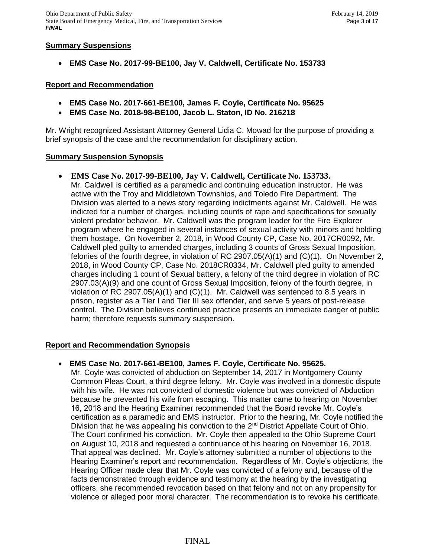#### **Summary Suspensions**

**EMS Case No. 2017-99-BE100, Jay V. Caldwell, Certificate No. 153733**

#### **Report and Recommendation**

- **EMS Case No. 2017-661-BE100, James F. Coyle, Certificate No. 95625**
- **EMS Case No. 2018-98-BE100, Jacob L. Staton, ID No. 216218**

Mr. Wright recognized Assistant Attorney General Lidia C. Mowad for the purpose of providing a brief synopsis of the case and the recommendation for disciplinary action.

#### **Summary Suspension Synopsis**

 **EMS Case No. 2017-99-BE100, Jay V. Caldwell, Certificate No. 153733.** Mr. Caldwell is certified as a paramedic and continuing education instructor. He was active with the Troy and Middletown Townships, and Toledo Fire Department. The Division was alerted to a news story regarding indictments against Mr. Caldwell. He was indicted for a number of charges, including counts of rape and specifications for sexually violent predator behavior. Mr. Caldwell was the program leader for the Fire Explorer program where he engaged in several instances of sexual activity with minors and holding them hostage. On November 2, 2018, in Wood County CP, Case No. 2017CR0092, Mr. Caldwell pled guilty to amended charges, including 3 counts of Gross Sexual Imposition, felonies of the fourth degree, in violation of RC 2907.05(A)(1) and (C)(1). On November 2, 2018, in Wood County CP, Case No. 2018CR0334, Mr. Caldwell pled guilty to amended charges including 1 count of Sexual battery, a felony of the third degree in violation of RC 2907.03(A)(9) and one count of Gross Sexual Imposition, felony of the fourth degree, in violation of RC 2907.05(A)(1) and  $(C)(1)$ . Mr. Caldwell was sentenced to 8.5 years in prison, register as a Tier I and Tier III sex offender, and serve 5 years of post-release control. The Division believes continued practice presents an immediate danger of public harm; therefore requests summary suspension.

# **Report and Recommendation Synopsis**

**EMS Case No. 2017-661-BE100, James F. Coyle, Certificate No. 95625.**

Mr. Coyle was convicted of abduction on September 14, 2017 in Montgomery County Common Pleas Court, a third degree felony. Mr. Coyle was involved in a domestic dispute with his wife. He was not convicted of domestic violence but was convicted of Abduction because he prevented his wife from escaping. This matter came to hearing on November 16, 2018 and the Hearing Examiner recommended that the Board revoke Mr. Coyle's certification as a paramedic and EMS instructor. Prior to the hearing, Mr. Coyle notified the Division that he was appealing his conviction to the 2<sup>nd</sup> District Appellate Court of Ohio. The Court confirmed his conviction. Mr. Coyle then appealed to the Ohio Supreme Court on August 10, 2018 and requested a continuance of his hearing on November 16, 2018. That appeal was declined. Mr. Coyle's attorney submitted a number of objections to the Hearing Examiner's report and recommendation. Regardless of Mr. Coyle's objections, the Hearing Officer made clear that Mr. Coyle was convicted of a felony and, because of the facts demonstrated through evidence and testimony at the hearing by the investigating officers, she recommended revocation based on that felony and not on any propensity for violence or alleged poor moral character. The recommendation is to revoke his certificate.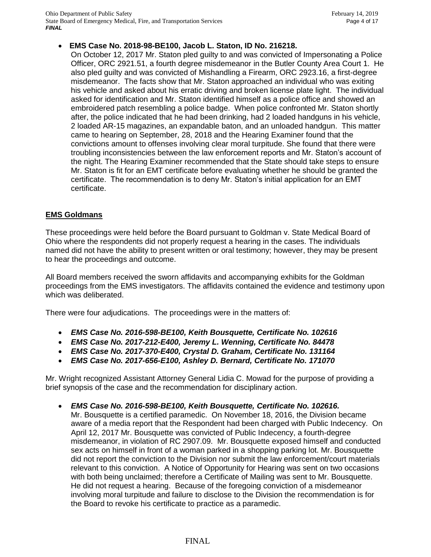# **EMS Case No. 2018-98-BE100, Jacob L. Staton, ID No. 216218.**

On October 12, 2017 Mr. Staton pled guilty to and was convicted of Impersonating a Police Officer, ORC 2921.51, a fourth degree misdemeanor in the Butler County Area Court 1. He also pled guilty and was convicted of Mishandling a Firearm, ORC 2923.16, a first-degree misdemeanor. The facts show that Mr. Staton approached an individual who was exiting his vehicle and asked about his erratic driving and broken license plate light. The individual asked for identification and Mr. Staton identified himself as a police office and showed an embroidered patch resembling a police badge. When police confronted Mr. Staton shortly after, the police indicated that he had been drinking, had 2 loaded handguns in his vehicle, 2 loaded AR-15 magazines, an expandable baton, and an unloaded handgun. This matter came to hearing on September, 28, 2018 and the Hearing Examiner found that the convictions amount to offenses involving clear moral turpitude. She found that there were troubling inconsistencies between the law enforcement reports and Mr. Staton's account of the night. The Hearing Examiner recommended that the State should take steps to ensure Mr. Staton is fit for an EMT certificate before evaluating whether he should be granted the certificate. The recommendation is to deny Mr. Staton's initial application for an EMT certificate.

# **EMS Goldmans**

These proceedings were held before the Board pursuant to Goldman v. State Medical Board of Ohio where the respondents did not properly request a hearing in the cases. The individuals named did not have the ability to present written or oral testimony; however, they may be present to hear the proceedings and outcome.

All Board members received the sworn affidavits and accompanying exhibits for the Goldman proceedings from the EMS investigators. The affidavits contained the evidence and testimony upon which was deliberated.

There were four adjudications. The proceedings were in the matters of:

- *EMS Case No. 2016-598-BE100, Keith Bousquette, Certificate No. 102616*
- *EMS Case No. 2017-212-E400, Jeremy L. Wenning, Certificate No. 84478*
- *EMS Case No. 2017-370-E400, Crystal D. Graham, Certificate No. 131164*
- *EMS Case No. 2017-656-E100, Ashley D. Bernard, Certificate No. 171070*

Mr. Wright recognized Assistant Attorney General Lidia C. Mowad for the purpose of providing a brief synopsis of the case and the recommendation for disciplinary action.

 *EMS Case No. 2016-598-BE100, Keith Bousquette, Certificate No. 102616.* Mr. Bousquette is a certified paramedic. On November 18, 2016, the Division became aware of a media report that the Respondent had been charged with Public Indecency. On April 12, 2017 Mr. Bousquette was convicted of Public Indecency, a fourth-degree misdemeanor, in violation of RC 2907.09. Mr. Bousquette exposed himself and conducted sex acts on himself in front of a woman parked in a shopping parking lot. Mr. Bousquette did not report the conviction to the Division nor submit the law enforcement/court materials relevant to this conviction. A Notice of Opportunity for Hearing was sent on two occasions with both being unclaimed; therefore a Certificate of Mailing was sent to Mr. Bousquette. He did not request a hearing. Because of the foregoing conviction of a misdemeanor involving moral turpitude and failure to disclose to the Division the recommendation is for the Board to revoke his certificate to practice as a paramedic.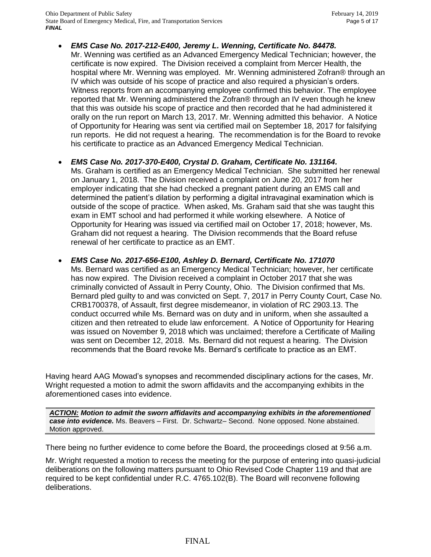- *EMS Case No. 2017-212-E400, Jeremy L. Wenning, Certificate No. 84478.* Mr. Wenning was certified as an Advanced Emergency Medical Technician; however, the certificate is now expired. The Division received a complaint from Mercer Health, the hospital where Mr. Wenning was employed. Mr. Wenning administered Zofran® through an IV which was outside of his scope of practice and also required a physician's orders. Witness reports from an accompanying employee confirmed this behavior. The employee reported that Mr. Wenning administered the Zofran® through an IV even though he knew that this was outside his scope of practice and then recorded that he had administered it orally on the run report on March 13, 2017. Mr. Wenning admitted this behavior. A Notice of Opportunity for Hearing was sent via certified mail on September 18, 2017 for falsifying run reports. He did not request a hearing. The recommendation is for the Board to revoke his certificate to practice as an Advanced Emergency Medical Technician.
- *EMS Case No. 2017-370-E400, Crystal D. Graham, Certificate No. 131164.* Ms. Graham is certified as an Emergency Medical Technician. She submitted her renewal on January 1, 2018. The Division received a complaint on June 20, 2017 from her employer indicating that she had checked a pregnant patient during an EMS call and determined the patient's dilation by performing a digital intravaginal examination which is exam in EMT school and had performed it while working elsewhere. A Notice of Opportunity for Hearing was issued via certified mail on October 17, 2018; however, Ms. Graham did not request a hearing. The Division recommends that the Board refuse
	- outside of the scope of practice. When asked, Ms. Graham said that she was taught this renewal of her certificate to practice as an EMT.
	- *EMS Case No. 2017-656-E100, Ashley D. Bernard, Certificate No. 171070* Ms. Bernard was certified as an Emergency Medical Technician; however, her certificate has now expired. The Division received a complaint in October 2017 that she was criminally convicted of Assault in Perry County, Ohio. The Division confirmed that Ms. Bernard pled guilty to and was convicted on Sept. 7, 2017 in Perry County Court, Case No. CRB1700378, of Assault, first degree misdemeanor, in violation of RC 2903.13. The conduct occurred while Ms. Bernard was on duty and in uniform, when she assaulted a citizen and then retreated to elude law enforcement. A Notice of Opportunity for Hearing was issued on November 9, 2018 which was unclaimed; therefore a Certificate of Mailing was sent on December 12, 2018. Ms. Bernard did not request a hearing. The Division recommends that the Board revoke Ms. Bernard's certificate to practice as an EMT.

Having heard AAG Mowad's synopses and recommended disciplinary actions for the cases, Mr. Wright requested a motion to admit the sworn affidavits and the accompanying exhibits in the aforementioned cases into evidence.

*ACTION: Motion to admit the sworn affidavits and accompanying exhibits in the aforementioned case into evidence.* Ms. Beavers – First. Dr. Schwartz– Second. None opposed. None abstained. Motion approved.

There being no further evidence to come before the Board, the proceedings closed at 9:56 a.m.

Mr. Wright requested a motion to recess the meeting for the purpose of entering into quasi-judicial deliberations on the following matters pursuant to Ohio Revised Code Chapter 119 and that are required to be kept confidential under R.C. 4765.102(B). The Board will reconvene following deliberations.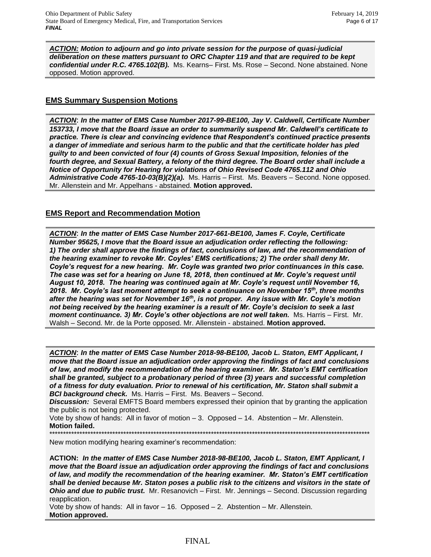*ACTION: Motion to adjourn and go into private session for the purpose of quasi-judicial deliberation on these matters pursuant to ORC Chapter 119 and that are required to be kept confidential under R.C. 4765.102(B).* Ms. Kearns– First. Ms. Rose – Second. None abstained. None opposed. Motion approved.

# **EMS Summary Suspension Motions**

*ACTION*: *In the matter of EMS Case Number 2017-99-BE100, Jay V. Caldwell, Certificate Number 153733, I move that the Board issue an order to summarily suspend Mr. Caldwell's certificate to practice. There is clear and convincing evidence that Respondent's continued practice presents a danger of immediate and serious harm to the public and that the certificate holder has pled guilty to and been convicted of four (4) counts of Gross Sexual Imposition, felonies of the fourth degree, and Sexual Battery, a felony of the third degree. The Board order shall include a Notice of Opportunity for Hearing for violations of Ohio Revised Code 4765.112 and Ohio Administrative Code 4765-10-03(B)(2)(a).* Ms. Harris – First. Ms. Beavers – Second. None opposed. Mr. Allenstein and Mr. Appelhans - abstained. **Motion approved.** 

# **EMS Report and Recommendation Motion**

*ACTION*: *In the matter of EMS Case Number 2017-661-BE100, James F. Coyle, Certificate Number 95625, I move that the Board issue an adjudication order reflecting the following: 1) The order shall approve the findings of fact, conclusions of law, and the recommendation of the hearing examiner to revoke Mr. Coyles' EMS certifications; 2) The order shall deny Mr. Coyle's request for a new hearing. Mr. Coyle was granted two prior continuances in this case. The case was set for a hearing on June 18, 2018, then continued at Mr. Coyle's request until August 10, 2018. The hearing was continued again at Mr. Coyle's request until November 16, 2018. Mr. Coyle's last moment attempt to seek a continuance on November 15th, three months after the hearing was set for November 16th, is not proper. Any issue with Mr. Coyle's motion not being received by the hearing examiner is a result of Mr. Coyle's decision to seek a last moment continuance. 3) Mr. Coyle's other objections are not well taken.* Ms. Harris – First. Mr. Walsh – Second. Mr. de la Porte opposed. Mr. Allenstein - abstained. **Motion approved.**

*ACTION*: *In the matter of EMS Case Number 2018-98-BE100, Jacob L. Staton, EMT Applicant, I move that the Board issue an adjudication order approving the findings of fact and conclusions of law, and modify the recommendation of the hearing examiner. Mr. Staton's EMT certification shall be granted, subject to a probationary period of three (3) years and successful completion of a fitness for duty evaluation. Prior to renewal of his certification, Mr. Staton shall submit a BCI background check.* Ms. Harris – First. Ms. Beavers – Second.

**Discussion:** Several EMFTS Board members expressed their opinion that by granting the application the public is not being protected.

Vote by show of hands: All in favor of motion – 3. Opposed – 14. Abstention – Mr. Allenstein. **Motion failed.**

\*\*\*\*\*\*\*\*\*\*\*\*\*\*\*\*\*\*\*\*\*\*\*\*\*\*\*\*\*\*\*\*\*\*\*\*\*\*\*\*\*\*\*\*\*\*\*\*\*\*\*\*\*\*\*\*\*\*\*\*\*\*\*\*\*\*\*\*\*\*\*\*\*\*\*\*\*\*\*\*\*\*\*\*\*\*\*\*\*\*\*\*\*\*\*\*\*\*\*\*\*\*\*\*\*\*\*\*\*\*\*\*\*\*\*\*\*

New motion modifying hearing examiner's recommendation:

**ACTION:** *In the matter of EMS Case Number 2018-98-BE100, Jacob L. Staton, EMT Applicant, I move that the Board issue an adjudication order approving the findings of fact and conclusions of law, and modify the recommendation of the hearing examiner. Mr. Staton's EMT certification shall be denied because Mr. Staton poses a public risk to the citizens and visitors in the state of Ohio and due to public trust.* Mr. Resanovich – First. Mr. Jennings – Second. Discussion regarding reapplication.

Vote by show of hands: All in favor – 16. Opposed – 2. Abstention – Mr. Allenstein. **Motion approved.**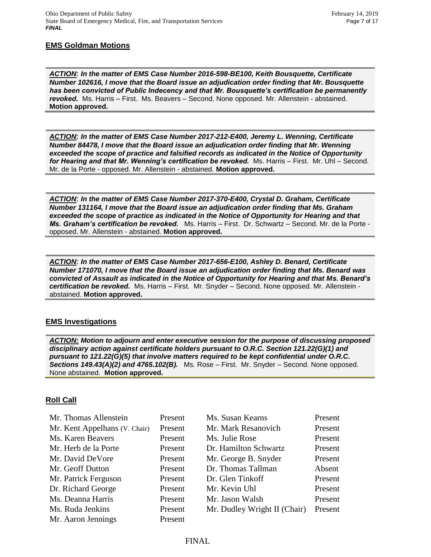# **EMS Goldman Motions**

*ACTION*: *In the matter of EMS Case Number 2016-598-BE100, Keith Bousquette, Certificate Number 102616, I move that the Board issue an adjudication order finding that Mr. Bousquette has been convicted of Public Indecency and that Mr. Bousquette's certification be permanently revoked.* Ms. Harris – First. Ms. Beavers – Second. None opposed. Mr. Allenstein - abstained. **Motion approved.**

*ACTION*: *In the matter of EMS Case Number 2017-212-E400, Jeremy L. Wenning, Certificate Number 84478, I move that the Board issue an adjudication order finding that Mr. Wenning exceeded the scope of practice and falsified records as indicated in the Notice of Opportunity for Hearing and that Mr. Wenning's certification be revoked.* Ms. Harris – First. Mr. Uhl – Second. Mr. de la Porte - opposed. Mr. Allenstein - abstained. **Motion approved.**

*ACTION*: *In the matter of EMS Case Number 2017-370-E400, Crystal D. Graham, Certificate Number 131164, I move that the Board issue an adjudication order finding that Ms. Graham*  exceeded the scope of practice as indicated in the Notice of Opportunity for Hearing and that *Ms. Graham's certification be revoked.* Ms. Harris – First. Dr. Schwartz – Second. Mr. de la Porte opposed. Mr. Allenstein - abstained. **Motion approved.**

*ACTION*: *In the matter of EMS Case Number 2017-656-E100, Ashley D. Benard, Certificate Number 171070, I move that the Board issue an adjudication order finding that Ms. Benard was convicted of Assault as indicated in the Notice of Opportunity for Hearing and that Ms. Benard's certification be revoked.* Ms. Harris – First. Mr. Snyder – Second. None opposed. Mr. Allenstein abstained. **Motion approved.**

#### **EMS Investigations**

*ACTION: Motion to adjourn and enter executive session for the purpose of discussing proposed disciplinary action against certificate holders pursuant to O.R.C. Section 121.22(G)(1) and pursuant to 121.22(G)(5) that involve matters required to be kept confidential under O.R.C. Sections 149.43(A)(2) and 4765.102(B).* Ms. Rose – First. Mr. Snyder – Second. None opposed. None abstained. **Motion approved.**

#### **Roll Call**

| Mr. Thomas Allenstein         | Present | Ms. Susan Kearns             | Present |
|-------------------------------|---------|------------------------------|---------|
| Mr. Kent Appelhans (V. Chair) | Present | Mr. Mark Resanovich          | Present |
| Ms. Karen Beavers             | Present | Ms. Julie Rose               | Present |
| Mr. Herb de la Porte          | Present | Dr. Hamilton Schwartz        | Present |
| Mr. David DeVore              | Present | Mr. George B. Snyder         | Present |
| Mr. Geoff Dutton              | Present | Dr. Thomas Tallman           | Absent  |
| Mr. Patrick Ferguson          | Present | Dr. Glen Tinkoff             | Present |
| Dr. Richard George            | Present | Mr. Kevin Uhl                | Present |
| Ms. Deanna Harris             | Present | Mr. Jason Walsh              | Present |
| Ms. Ruda Jenkins              | Present | Mr. Dudley Wright II (Chair) | Present |
| Mr. Aaron Jennings            | Present |                              |         |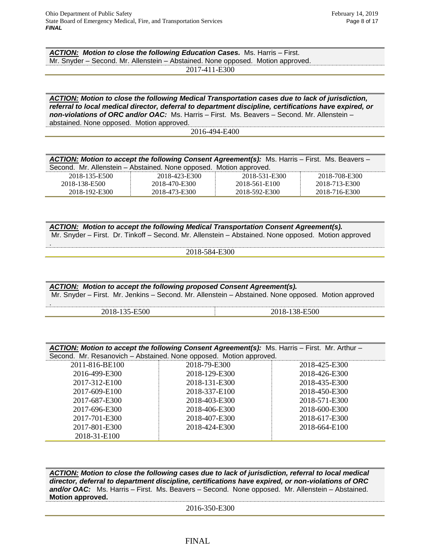.

*ACTION: Motion to close the following Education Cases.* Ms. Harris – First. Mr. Snyder – Second. Mr. Allenstein – Abstained. None opposed. Motion approved.

2017-411-E300

*ACTION: Motion to close the following Medical Transportation cases due to lack of jurisdiction, referral to local medical director, deferral to department discipline, certifications have expired, or non-violations of ORC and/or OAC:* Ms. Harris – First. Ms. Beavers – Second. Mr. Allenstein – abstained. None opposed. Motion approved.

2016-494-E400

| ACTION: Motion to accept the following Consent Agreement(s): Ms. Harris - First. Ms. Beavers - |                                                                    |               |               |
|------------------------------------------------------------------------------------------------|--------------------------------------------------------------------|---------------|---------------|
|                                                                                                | Second. Mr. Allenstein - Abstained. None opposed. Motion approved. |               |               |
| 2018-135-E500                                                                                  | 2018-423-E300                                                      | 2018-531-E300 | 2018-708-E300 |
| 2018-138-E500                                                                                  | 2018-470-E300                                                      | 2018-561-E100 | 2018-713-E300 |
| 2018-192-E300                                                                                  | 2018-473-E300                                                      | 2018-592-E300 | 2018-716-E300 |

*ACTION: Motion to accept the following Medical Transportation Consent Agreement(s).*  Mr. Snyder – First. Dr. Tinkoff – Second. Mr. Allenstein – Abstained. None opposed. Motion approved

2018-584-E300

| ACTION: Motion to accept the following proposed Consent Agreement(s). | Mr. Snyder – First. Mr. Jenkins – Second. Mr. Allenstein – Abstained. None opposed. Motion approved |
|-----------------------------------------------------------------------|-----------------------------------------------------------------------------------------------------|
| 2018-135-E500                                                         | 2018-138-E500                                                                                       |

| ACTION: Motion to accept the following Consent Agreement(s): Ms. Harris - First. Mr. Arthur - |                                                                    |               |  |  |
|-----------------------------------------------------------------------------------------------|--------------------------------------------------------------------|---------------|--|--|
|                                                                                               | Second. Mr. Resanovich - Abstained. None opposed. Motion approved. |               |  |  |
| 2011-816-BE100                                                                                | 2018-79-E300                                                       | 2018-425-E300 |  |  |
| 2016-499-E300                                                                                 | 2018-129-E300                                                      | 2018-426-E300 |  |  |
| 2017-312-E100                                                                                 | 2018-131-E300                                                      | 2018-435-E300 |  |  |
| 2017-609-E100                                                                                 | 2018-337-E100                                                      | 2018-450-E300 |  |  |
| 2017-687-E300                                                                                 | 2018-403-E300                                                      | 2018-571-E300 |  |  |
| 2017-696-E300                                                                                 | 2018-406-E300                                                      | 2018-600-E300 |  |  |
| 2017-701-E300                                                                                 | 2018-407-E300                                                      | 2018-617-E300 |  |  |
| 2017-801-E300                                                                                 | 2018-424-E300                                                      | 2018-664-E100 |  |  |
| 2018-31-E100                                                                                  |                                                                    |               |  |  |

*ACTION: Motion to close the following cases due to lack of jurisdiction, referral to local medical director, deferral to department discipline, certifications have expired, or non-violations of ORC*  and/or OAC: Ms. Harris – First. Ms. Beavers – Second. None opposed. Mr. Allenstein – Abstained. **Motion approved.**

2016-350-E300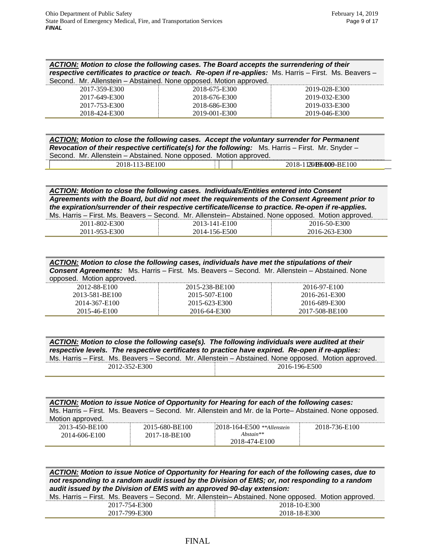| ACTION: Motion to close the following cases. The Board accepts the surrendering of their                      |  |
|---------------------------------------------------------------------------------------------------------------|--|
| <i>respective certificates to practice or teach.</i> Re-open if re-applies: Ms. Harris – First. Ms. Beavers – |  |
| Second. Mr. Allenstein – Abstained. None opposed. Motion approved.                                            |  |

| 0000110. 1111. / 111011010111 | wordmod. Hono oppoood. Monon approvod. |               |
|-------------------------------|----------------------------------------|---------------|
| 2017-359-E300                 | 2018-675-E300                          | 2019-028-E300 |
| 2017-649-E300                 | 2018-676-E300                          | 2019-032-E300 |
| 2017-753-E300                 | 2018-686-E300                          | 2019-033-E300 |
| 2018-424-E300                 | 2019-001-E300                          | 2019-046-E300 |

| ACTION: Motion to close the following cases. Accept the voluntary surrender for Permanent                |                        |  |
|----------------------------------------------------------------------------------------------------------|------------------------|--|
| <b>Revocation of their respective certificate(s) for the following:</b> Ms. Harris – First. Mr. Snyder – |                        |  |
| Second. Mr. Allenstein – Abstained. None opposed. Motion approved.                                       |                        |  |
| 2018-113-BE100                                                                                           | 2018-11230B9E000-BE100 |  |

*ACTION: Motion to close the following cases. Individuals/Entities entered into Consent Agreements with the Board, but did not meet the requirements of the Consent Agreement prior to the expiration/surrender of their respective certificate/license to practice. Re-open if re-applies.* 

| Ms. Harris – First. Ms. Beavers – Second. Mr. Allenstein– Abstained. None opposed. Motion approved. |               |               |
|-----------------------------------------------------------------------------------------------------|---------------|---------------|
| 2011-802-E300                                                                                       | 2013-141-E100 | 2016-50-E300  |
| 2011-953-E300                                                                                       | 2014-156-E500 | 2016-263-E300 |

| ACTION: Motion to close the following cases, individuals have met the stipulations of their<br><b>Consent Agreements:</b> Ms. Harris - First. Ms. Beavers - Second. Mr. Allenstein - Abstained. None<br>opposed. Motion approved. |                |                |
|-----------------------------------------------------------------------------------------------------------------------------------------------------------------------------------------------------------------------------------|----------------|----------------|
| 2012-88-E100                                                                                                                                                                                                                      | 2015-238-BE100 | 2016-97-E100   |
| 2013-581-BE100                                                                                                                                                                                                                    | 2015-507-E100  | 2016-261-E300  |
| 2014-367-E100                                                                                                                                                                                                                     | 2015-623-E300  | 2016-689-E300  |
| 2015-46-E100                                                                                                                                                                                                                      | 2016-64-E300   | 2017-508-BE100 |

|               | ACTION: Motion to close the following case(s). The following individuals were audited at their<br>respective levels. The respective certificates to practice have expired. Re-open if re-applies: |
|---------------|---------------------------------------------------------------------------------------------------------------------------------------------------------------------------------------------------|
|               | Ms. Harris - First. Ms. Beavers - Second. Mr. Allenstein - Abstained. None opposed. Motion approved.                                                                                              |
| 2012-352-E300 | 2016-196-E500                                                                                                                                                                                     |

| <b>ACTION:</b> Motion to issue Notice of Opportunity for Hearing for each of the following cases:<br>Ms. Harris - First. Ms. Beavers - Second. Mr. Allenstein and Mr. de la Porte-Abstained. None opposed.<br>Motion approved. |                                 |                                                                  |               |  |  |
|--------------------------------------------------------------------------------------------------------------------------------------------------------------------------------------------------------------------------------|---------------------------------|------------------------------------------------------------------|---------------|--|--|
| 2013-450-BE100<br>2014-606-E100                                                                                                                                                                                                | 2015-680-BE100<br>2017-18-BE100 | $2018 - 164 - E500$ **Allenstein<br>$Abstain**$<br>2018-474-E100 | 2018-736-E100 |  |  |

*ACTION: Motion to issue Notice of Opportunity for Hearing for each of the following cases, due to not responding to a random audit issued by the Division of EMS; or, not responding to a random audit issued by the Division of EMS with an approved 90-day extension:*

|               | Ms. Harris – First. Ms. Beavers – Second. Mr. Allenstein– Abstained. None opposed. Motion approved. |
|---------------|-----------------------------------------------------------------------------------------------------|
| 2017-754-E300 | 2018-10-E300                                                                                        |
| 2017-799-E300 | 2018-18-E300                                                                                        |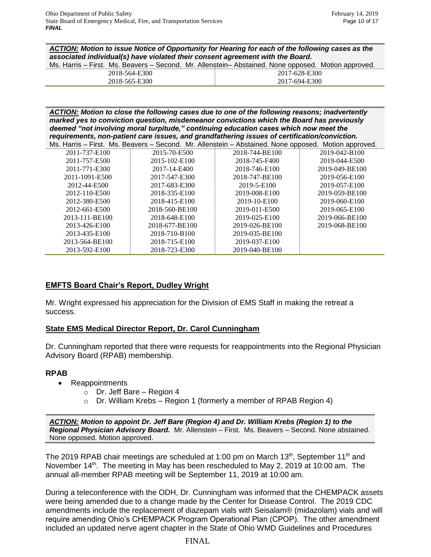*ACTION: Motion to issue Notice of Opportunity for Hearing for each of the following cases as the associated individual(s) have violated their consent agreement with the Board.*

|               | Ms. Harris – First. Ms. Beavers – Second. Mr. Allenstein– Abstained. None opposed. Motion approved. |
|---------------|-----------------------------------------------------------------------------------------------------|
| 2018-564-E300 | 2017-628-E300                                                                                       |
| 2018-565-E300 | 2017-694-E300                                                                                       |

*ACTION: Motion to close the following cases due to one of the following reasons; inadvertently marked yes to conviction question, misdemeanor convictions which the Board has previously deemed "not involving moral turpitude," continuing education cases which now meet the requirements, non-patient care issues, and grandfathering issues of certification/conviction.*

|                |                | Ms. Harris – First. Ms. Beavers – Second. Mr. Allenstein – Abstained. None opposed. Motion approved. |                |
|----------------|----------------|------------------------------------------------------------------------------------------------------|----------------|
| 2011-737-E100  | 2015-70-E500   | 2018-744-BE100                                                                                       | 2019-042-B100  |
| 2011-757-E500  | 2015-102-E100  | 2018-745-F400                                                                                        | 2019-044-E500  |
| 2011-771-E300  | 2017-14-E400   | 2018-746-E100                                                                                        | 2019-049-BE100 |
| 2011-1091-E500 | 2017-547-E300  | 2018-747-BE100                                                                                       | 2019-056-E100  |
| 2012-44-E500   | 2017-683-E300  | 2019-5-E100                                                                                          | 2019-057-E100  |
| 2012-110-E500  | 2018-335-E100  | 2019-008-E100                                                                                        | 2019-059-BE100 |
| 2012-380-E500  | 2018-415-E100  | 2019-10-E100                                                                                         | 2019-060-E100  |
| 2012-661-E500  | 2018-560-BE100 | 2019-011-E500                                                                                        | 2019-065-E100  |
| 2013-111-BE100 | 2018-648-E100  | 2019-025-E100                                                                                        | 2019-066-BE100 |
| 2013-426-E100  | 2018-677-BE100 | 2019-026-BE100                                                                                       | 2019-068-BE100 |
| 2013-435-E100  | 2018-710-B100  | 2019-035-BE100                                                                                       |                |
| 2013-564-BE100 | 2018-715-E100  | 2019-037-E100                                                                                        |                |
| 2013-592-E100  | 2018-723-E300  | 2019-040-BE100                                                                                       |                |

# **EMFTS Board Chair's Report, Dudley Wright**

Mr. Wright expressed his appreciation for the Division of EMS Staff in making the retreat a success.

# **State EMS Medical Director Report, Dr. Carol Cunningham**

Dr. Cunningham reported that there were requests for reappointments into the Regional Physician Advisory Board (RPAB) membership.

# **RPAB**

- Reappointments
	- $\circ$  Dr. Jeff Bare Region 4
	- $\circ$  Dr. William Krebs Region 1 (formerly a member of RPAB Region 4)

*ACTION: Motion to appoint Dr. Jeff Bare (Region 4) and Dr. William Krebs (Region 1) to the Regional Physician Advisory Board.* Mr. Allenstein – First. Ms. Beavers – Second. None abstained. None opposed. Motion approved.

The 2019 RPAB chair meetings are scheduled at 1:00 pm on March 13<sup>th</sup>, September 11<sup>th</sup> and November 14<sup>th</sup>. The meeting in May has been rescheduled to May 2, 2019 at 10:00 am. The annual all-member RPAB meeting will be September 11, 2019 at 10:00 am.

During a teleconference with the ODH, Dr. Cunningham was informed that the CHEMPACK assets were being amended due to a change made by the Center for Disease Control. The 2019 CDC amendments include the replacement of diazepam vials with Seisalam® (midazolam) vials and will require amending Ohio's CHEMPACK Program Operational Plan (CPOP). The other amendment included an updated nerve agent chapter in the State of Ohio WMD Guidelines and Procedures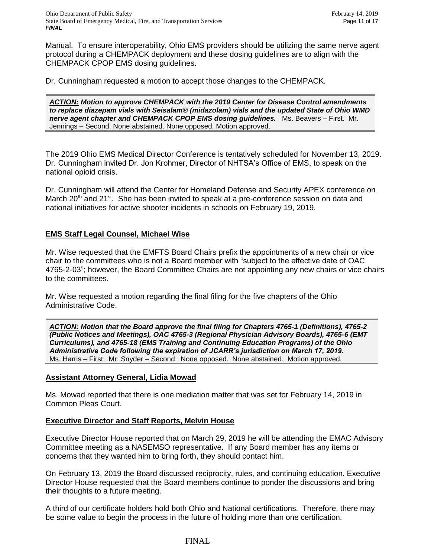Manual. To ensure interoperability, Ohio EMS providers should be utilizing the same nerve agent protocol during a CHEMPACK deployment and these dosing guidelines are to align with the CHEMPACK CPOP EMS dosing guidelines.

Dr. Cunningham requested a motion to accept those changes to the CHEMPACK.

*ACTION: Motion to approve CHEMPACK with the 2019 Center for Disease Control amendments to replace diazepam vials with Seisalam® (midazolam) vials and the updated State of Ohio WMD nerve agent chapter and CHEMPACK CPOP EMS dosing guidelines.* Ms. Beavers – First. Mr. Jennings – Second. None abstained. None opposed. Motion approved.

The 2019 Ohio EMS Medical Director Conference is tentatively scheduled for November 13, 2019. Dr. Cunningham invited Dr. Jon Krohmer, Director of NHTSA's Office of EMS, to speak on the national opioid crisis.

Dr. Cunningham will attend the Center for Homeland Defense and Security APEX conference on March 20<sup>th</sup> and 21<sup>st</sup>. She has been invited to speak at a pre-conference session on data and national initiatives for active shooter incidents in schools on February 19, 2019.

# **EMS Staff Legal Counsel, Michael Wise**

Mr. Wise requested that the EMFTS Board Chairs prefix the appointments of a new chair or vice chair to the committees who is not a Board member with "subject to the effective date of OAC 4765-2-03"; however, the Board Committee Chairs are not appointing any new chairs or vice chairs to the committees.

Mr. Wise requested a motion regarding the final filing for the five chapters of the Ohio Administrative Code.

*ACTION: Motion that the Board approve the final filing for Chapters 4765-1 (Definitions), 4765-2 (Public Notices and Meetings), OAC 4765-3 (Regional Physician Advisory Boards), 4765-6 (EMT Curriculums), and 4765-18 (EMS Training and Continuing Education Programs) of the Ohio Administrative Code following the expiration of JCARR's jurisdiction on March 17, 2019.*  Ms. Harris – First. Mr. Snyder – Second. None opposed. None abstained. Motion approved.

# **Assistant Attorney General, Lidia Mowad**

Ms. Mowad reported that there is one mediation matter that was set for February 14, 2019 in Common Pleas Court.

# **Executive Director and Staff Reports, Melvin House**

Executive Director House reported that on March 29, 2019 he will be attending the EMAC Advisory Committee meeting as a NASEMSO representative. If any Board member has any items or concerns that they wanted him to bring forth, they should contact him.

On February 13, 2019 the Board discussed reciprocity, rules, and continuing education. Executive Director House requested that the Board members continue to ponder the discussions and bring their thoughts to a future meeting.

A third of our certificate holders hold both Ohio and National certifications. Therefore, there may be some value to begin the process in the future of holding more than one certification.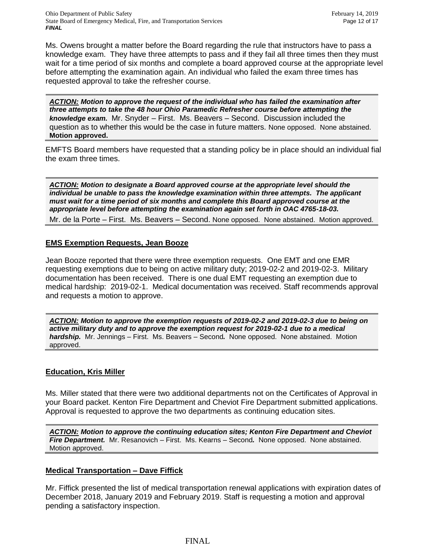Ohio Department of Public Safety February 14, 2019 State Board of Emergency Medical, Fire, and Transportation Services Page 12 of 17 *FINAL*

Ms. Owens brought a matter before the Board regarding the rule that instructors have to pass a knowledge exam. They have three attempts to pass and if they fail all three times then they must wait for a time period of six months and complete a board approved course at the appropriate level before attempting the examination again. An individual who failed the exam three times has requested approval to take the refresher course.

*ACTION: Motion to approve the request of the individual who has failed the examination after three attempts to take the 48 hour Ohio Paramedic Refresher course before attempting the knowledge exam.* Mr. Snyder – First. Ms. Beavers – Second. Discussion included the question as to whether this would be the case in future matters. None opposed. None abstained. **Motion approved.**

EMFTS Board members have requested that a standing policy be in place should an individual fial the exam three times.

*ACTION: Motion to designate a Board approved course at the appropriate level should the individual be unable to pass the knowledge examination within three attempts. The applicant must wait for a time period of six months and complete this Board approved course at the appropriate level before attempting the examination again set forth in OAC 4765-18-03.* 

Mr. de la Porte – First. Ms. Beavers – Second. None opposed. None abstained. Motion approved.

#### **EMS Exemption Requests, Jean Booze**

Jean Booze reported that there were three exemption requests. One EMT and one EMR requesting exemptions due to being on active military duty; 2019-02-2 and 2019-02-3. Military documentation has been received. There is one dual EMT requesting an exemption due to medical hardship: 2019-02-1. Medical documentation was received. Staff recommends approval and requests a motion to approve.

*ACTION: Motion to approve the exemption requests of 2019-02-2 and 2019-02-3 due to being on active military duty and to approve the exemption request for 2019-02-1 due to a medical hardship.* Mr. Jennings – First. Ms. Beavers – Second*.* None opposed. None abstained. Motion approved.

#### **Education, Kris Miller**

Ms. Miller stated that there were two additional departments not on the Certificates of Approval in your Board packet. Kenton Fire Department and Cheviot Fire Department submitted applications. Approval is requested to approve the two departments as continuing education sites.

*ACTION: Motion to approve the continuing education sites; Kenton Fire Department and Cheviot Fire Department.* Mr. Resanovich – First. Ms. Kearns – Second*.* None opposed. None abstained. Motion approved.

# **Medical Transportation – Dave Fiffick**

Mr. Fiffick presented the list of medical transportation renewal applications with expiration dates of December 2018, January 2019 and February 2019. Staff is requesting a motion and approval pending a satisfactory inspection.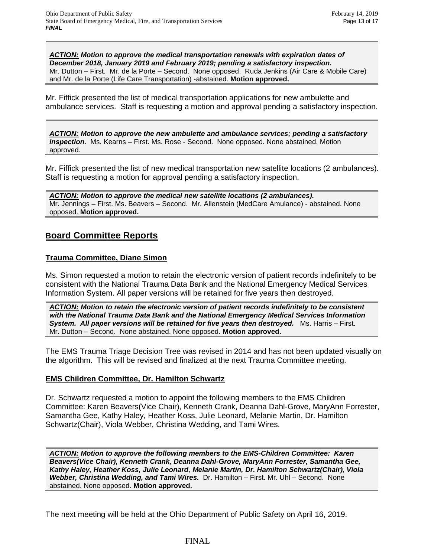*ACTION: Motion to approve the medical transportation renewals with expiration dates of December 2018, January 2019 and February 2019; pending a satisfactory inspection.*  Mr. Dutton – First. Mr. de la Porte – Second. None opposed. Ruda Jenkins (Air Care & Mobile Care) and Mr. de la Porte (Life Care Transportation) -abstained. **Motion approved.**

Mr. Fiffick presented the list of medical transportation applications for new ambulette and ambulance services. Staff is requesting a motion and approval pending a satisfactory inspection.

*ACTION: Motion to approve the new ambulette and ambulance services; pending a satisfactory inspection.* Ms. Kearns – First. Ms. Rose - Second. None opposed. None abstained. Motion approved.

Mr. Fiffick presented the list of new medical transportation new satellite locations (2 ambulances). Staff is requesting a motion for approval pending a satisfactory inspection.

*ACTION: Motion to approve the medical new satellite locations (2 ambulances).*  Mr. Jennings – First. Ms. Beavers – Second. Mr. Allenstein (MedCare Amulance) - abstained. None opposed. **Motion approved.**

# **Board Committee Reports**

# **Trauma Committee, Diane Simon**

Ms. Simon requested a motion to retain the electronic version of patient records indefinitely to be consistent with the National Trauma Data Bank and the National Emergency Medical Services Information System. All paper versions will be retained for five years then destroyed.

*ACTION: Motion to retain the electronic version of patient records indefinitely to be consistent with the National Trauma Data Bank and the National Emergency Medical Services Information System. All paper versions will be retained for five years then destroyed.* **Ms. Harris – First.** Mr. Dutton – Second. None abstained. None opposed. **Motion approved.**

The EMS Trauma Triage Decision Tree was revised in 2014 and has not been updated visually on the algorithm. This will be revised and finalized at the next Trauma Committee meeting.

# **EMS Children Committee, Dr. Hamilton Schwartz**

Dr. Schwartz requested a motion to appoint the following members to the EMS Children Committee: Karen Beavers(Vice Chair), Kenneth Crank, Deanna Dahl-Grove, MaryAnn Forrester, Samantha Gee, Kathy Haley, Heather Koss, Julie Leonard, Melanie Martin, Dr. Hamilton Schwartz(Chair), Viola Webber, Christina Wedding, and Tami Wires.

*ACTION: Motion to approve the following members to the EMS-Children Committee: Karen Beavers(Vice Chair), Kenneth Crank, Deanna Dahl-Grove, MaryAnn Forrester, Samantha Gee, Kathy Haley, Heather Koss, Julie Leonard, Melanie Martin, Dr. Hamilton Schwartz(Chair), Viola Webber, Christina Wedding, and Tami Wires.* Dr. Hamilton – First. Mr. Uhl – Second. None abstained. None opposed. **Motion approved.**

The next meeting will be held at the Ohio Department of Public Safety on April 16, 2019.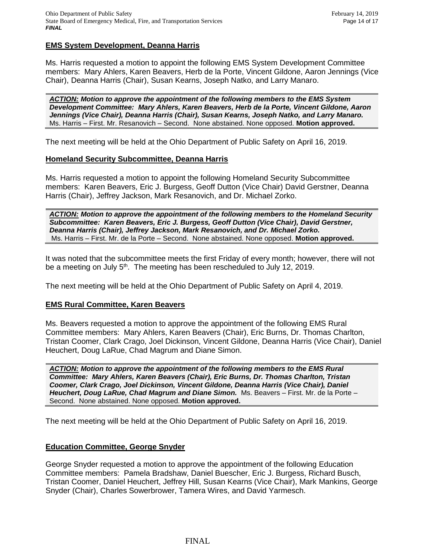#### **EMS System Development, Deanna Harris**

Ms. Harris requested a motion to appoint the following EMS System Development Committee members: Mary Ahlers, Karen Beavers, Herb de la Porte, Vincent Gildone, Aaron Jennings (Vice Chair), Deanna Harris (Chair), Susan Kearns, Joseph Natko, and Larry Manaro.

*ACTION: Motion to approve the appointment of the following members to the EMS System Development Committee: Mary Ahlers, Karen Beavers, Herb de la Porte, Vincent Gildone, Aaron Jennings (Vice Chair), Deanna Harris (Chair), Susan Kearns, Joseph Natko, and Larry Manaro.* Ms. Harris – First. Mr. Resanovich – Second. None abstained. None opposed. **Motion approved.**

The next meeting will be held at the Ohio Department of Public Safety on April 16, 2019.

#### **Homeland Security Subcommittee, Deanna Harris**

Ms. Harris requested a motion to appoint the following Homeland Security Subcommittee members: Karen Beavers, Eric J. Burgess, Geoff Dutton (Vice Chair) David Gerstner, Deanna Harris (Chair), Jeffrey Jackson, Mark Resanovich, and Dr. Michael Zorko.

*ACTION: Motion to approve the appointment of the following members to the Homeland Security Subcommittee: Karen Beavers, Eric J. Burgess, Geoff Dutton (Vice Chair), David Gerstner, Deanna Harris (Chair), Jeffrey Jackson, Mark Resanovich, and Dr. Michael Zorko.* Ms. Harris – First. Mr. de la Porte – Second. None abstained. None opposed. **Motion approved.**

It was noted that the subcommittee meets the first Friday of every month; however, there will not be a meeting on July 5<sup>th</sup>. The meeting has been rescheduled to July 12, 2019.

The next meeting will be held at the Ohio Department of Public Safety on April 4, 2019.

#### **EMS Rural Committee, Karen Beavers**

Ms. Beavers requested a motion to approve the appointment of the following EMS Rural Committee members: Mary Ahlers, Karen Beavers (Chair), Eric Burns, Dr. Thomas Charlton, Tristan Coomer, Clark Crago, Joel Dickinson, Vincent Gildone, Deanna Harris (Vice Chair), Daniel Heuchert, Doug LaRue, Chad Magrum and Diane Simon.

*ACTION: Motion to approve the appointment of the following members to the EMS Rural Committee: Mary Ahlers, Karen Beavers (Chair), Eric Burns, Dr. Thomas Charlton, Tristan Coomer, Clark Crago, Joel Dickinson, Vincent Gildone, Deanna Harris (Vice Chair), Daniel Heuchert, Doug LaRue, Chad Magrum and Diane Simon.* Ms. Beavers – First. Mr. de la Porte – Second. None abstained. None opposed. **Motion approved.**

The next meeting will be held at the Ohio Department of Public Safety on April 16, 2019.

#### **Education Committee, George Snyder**

George Snyder requested a motion to approve the appointment of the following Education Committee members: Pamela Bradshaw, Daniel Buescher, Eric J. Burgess, Richard Busch, Tristan Coomer, Daniel Heuchert, Jeffrey Hill, Susan Kearns (Vice Chair), Mark Mankins, George Snyder (Chair), Charles Sowerbrower, Tamera Wires, and David Yarmesch.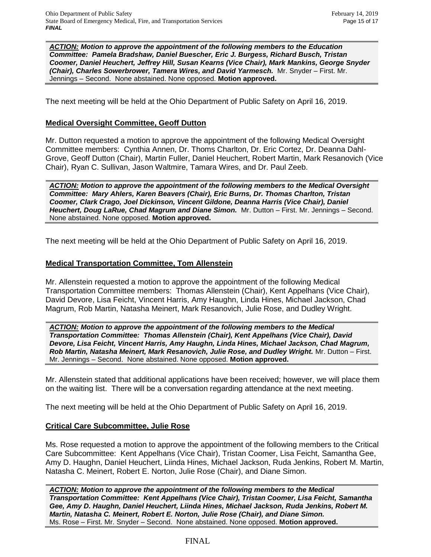*ACTION: Motion to approve the appointment of the following members to the Education Committee: Pamela Bradshaw, Daniel Buescher, Eric J. Burgess, Richard Busch, Tristan Coomer, Daniel Heuchert, Jeffrey Hill, Susan Kearns (Vice Chair), Mark Mankins, George Snyder (Chair), Charles Sowerbrower, Tamera Wires, and David Yarmesch.* Mr. Snyder – First. Mr. Jennings – Second. None abstained. None opposed. **Motion approved.**

The next meeting will be held at the Ohio Department of Public Safety on April 16, 2019.

#### **Medical Oversight Committee, Geoff Dutton**

Mr. Dutton requested a motion to approve the appointment of the following Medical Oversight Committee members: Cynthia Annen, Dr. Thoms Charlton, Dr. Eric Cortez, Dr. Deanna Dahl-Grove, Geoff Dutton (Chair), Martin Fuller, Daniel Heuchert, Robert Martin, Mark Resanovich (Vice Chair), Ryan C. Sullivan, Jason Waltmire, Tamara Wires, and Dr. Paul Zeeb.

*ACTION: Motion to approve the appointment of the following members to the Medical Oversight Committee: Mary Ahlers, Karen Beavers (Chair), Eric Burns, Dr. Thomas Charlton, Tristan Coomer, Clark Crago, Joel Dickinson, Vincent Gildone, Deanna Harris (Vice Chair), Daniel Heuchert, Doug LaRue, Chad Magrum and Diane Simon.* Mr. Dutton – First. Mr. Jennings – Second. None abstained. None opposed. **Motion approved.**

The next meeting will be held at the Ohio Department of Public Safety on April 16, 2019.

#### **Medical Transportation Committee, Tom Allenstein**

Mr. Allenstein requested a motion to approve the appointment of the following Medical Transportation Committee members: Thomas Allenstein (Chair), Kent Appelhans (Vice Chair), David Devore, Lisa Feicht, Vincent Harris, Amy Haughn, Linda Hines, Michael Jackson, Chad Magrum, Rob Martin, Natasha Meinert, Mark Resanovich, Julie Rose, and Dudley Wright.

*ACTION: Motion to approve the appointment of the following members to the Medical Transportation Committee: Thomas Allenstein (Chair), Kent Appelhans (Vice Chair), David Devore, Lisa Feicht, Vincent Harris, Amy Haughn, Linda Hines, Michael Jackson, Chad Magrum, Rob Martin, Natasha Meinert, Mark Resanovich, Julie Rose, and Dudley Wright.* Mr. Dutton – First. Mr. Jennings – Second. None abstained. None opposed. **Motion approved.**

Mr. Allenstein stated that additional applications have been received; however, we will place them on the waiting list. There will be a conversation regarding attendance at the next meeting.

The next meeting will be held at the Ohio Department of Public Safety on April 16, 2019.

# **Critical Care Subcommittee, Julie Rose**

Ms. Rose requested a motion to approve the appointment of the following members to the Critical Care Subcommittee: Kent Appelhans (Vice Chair), Tristan Coomer, Lisa Feicht, Samantha Gee, Amy D. Haughn, Daniel Heuchert, Liinda Hines, Michael Jackson, Ruda Jenkins, Robert M. Martin, Natasha C. Meinert, Robert E. Norton, Julie Rose (Chair), and Diane Simon.

*ACTION: Motion to approve the appointment of the following members to the Medical Transportation Committee: Kent Appelhans (Vice Chair), Tristan Coomer, Lisa Feicht, Samantha Gee, Amy D. Haughn, Daniel Heuchert, Liinda Hines, Michael Jackson, Ruda Jenkins, Robert M. Martin, Natasha C. Meinert, Robert E. Norton, Julie Rose (Chair), and Diane Simon.*  Ms. Rose – First. Mr. Snyder – Second. None abstained. None opposed. **Motion approved.**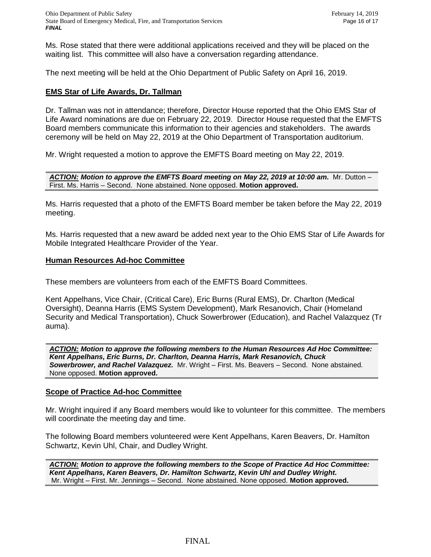Ms. Rose stated that there were additional applications received and they will be placed on the waiting list. This committee will also have a conversation regarding attendance.

The next meeting will be held at the Ohio Department of Public Safety on April 16, 2019.

#### **EMS Star of Life Awards, Dr. Tallman**

Dr. Tallman was not in attendance; therefore, Director House reported that the Ohio EMS Star of Life Award nominations are due on February 22, 2019. Director House requested that the EMFTS Board members communicate this information to their agencies and stakeholders. The awards ceremony will be held on May 22, 2019 at the Ohio Department of Transportation auditorium.

Mr. Wright requested a motion to approve the EMFTS Board meeting on May 22, 2019.

*ACTION: Motion to approve the EMFTS Board meeting on May 22, 2019 at 10:00 am.* Mr. Dutton – First. Ms. Harris – Second. None abstained. None opposed. **Motion approved.**

Ms. Harris requested that a photo of the EMFTS Board member be taken before the May 22, 2019 meeting.

Ms. Harris requested that a new award be added next year to the Ohio EMS Star of Life Awards for Mobile Integrated Healthcare Provider of the Year.

#### **Human Resources Ad-hoc Committee**

These members are volunteers from each of the EMFTS Board Committees.

Kent Appelhans, Vice Chair, (Critical Care), Eric Burns (Rural EMS), Dr. Charlton (Medical Oversight), Deanna Harris (EMS System Development), Mark Resanovich, Chair (Homeland Security and Medical Transportation), Chuck Sowerbrower (Education), and Rachel Valazquez (Tr auma).

*ACTION: Motion to approve the following members to the Human Resources Ad Hoc Committee: Kent Appelhans, Eric Burns, Dr. Charlton, Deanna Harris, Mark Resanovich, Chuck Sowerbrower, and Rachel Valazquez.* Mr. Wright – First. Ms. Beavers – Second. None abstained. None opposed. **Motion approved.**

#### **Scope of Practice Ad-hoc Committee**

Mr. Wright inquired if any Board members would like to volunteer for this committee. The members will coordinate the meeting day and time.

The following Board members volunteered were Kent Appelhans, Karen Beavers, Dr. Hamilton Schwartz, Kevin Uhl, Chair, and Dudley Wright.

*ACTION: Motion to approve the following members to the Scope of Practice Ad Hoc Committee: Kent Appelhans, Karen Beavers, Dr. Hamilton Schwartz, Kevin Uhl and Dudley Wright.*  Mr. Wright – First. Mr. Jennings – Second. None abstained. None opposed. **Motion approved.**